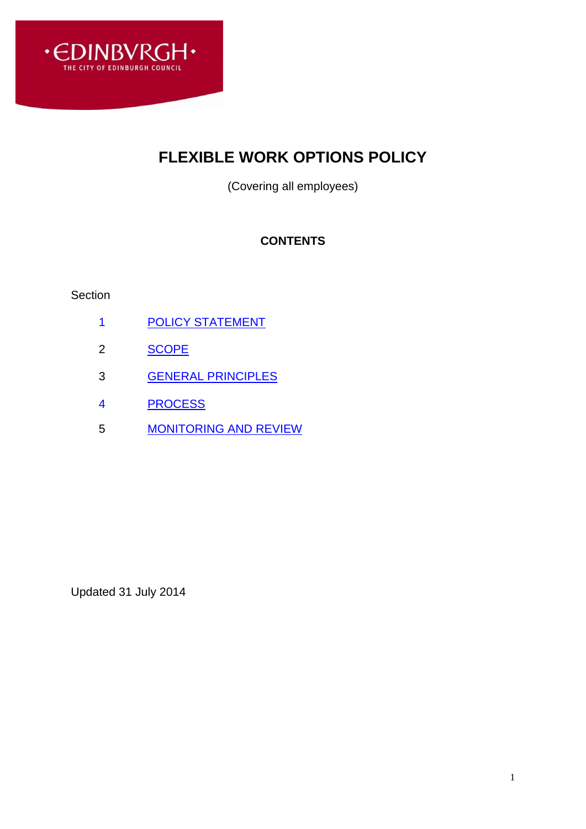

# **FLEXIBLE WORK OPTIONS POLICY**

(Covering all employees)

## **CONTENTS**

#### Section

- 1 POLICY STATEMENT
- 2 [SCOPE](#page-1-0)
- 3 [GENERAL PRINCIPLES](#page-1-1)
- 4 PROCESS
- 5 [MONITORING AND REVIEW](#page-2-0)

Updated 31 July 2014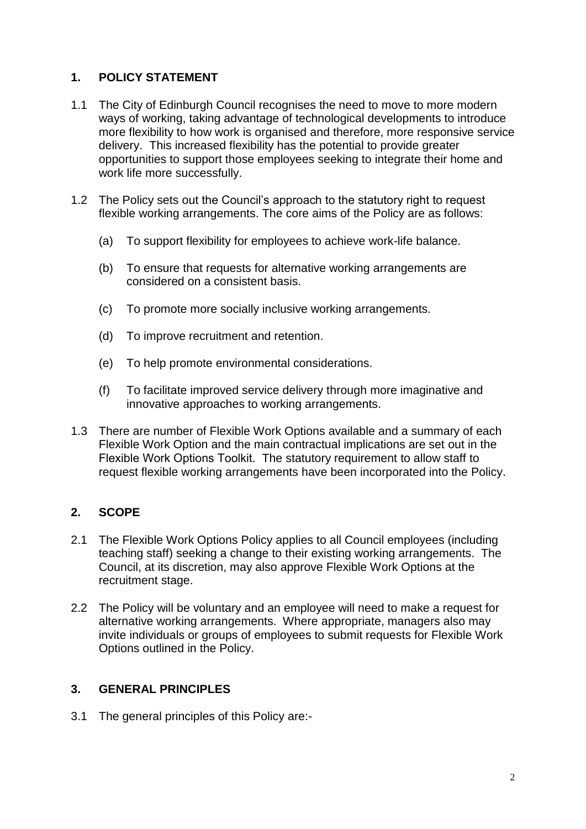#### **1. POLICY STATEMENT**

- 1.1 The City of Edinburgh Council recognises the need to move to more modern ways of working, taking advantage of technological developments to introduce more flexibility to how work is organised and therefore, more responsive service delivery. This increased flexibility has the potential to provide greater opportunities to support those employees seeking to integrate their home and work life more successfully.
- 1.2 The Policy sets out the Council's approach to the statutory right to request flexible working arrangements. The core aims of the Policy are as follows:
	- (a) To support flexibility for employees to achieve work-life balance.
	- (b) To ensure that requests for alternative working arrangements are considered on a consistent basis.
	- (c) To promote more socially inclusive working arrangements.
	- (d) To improve recruitment and retention.
	- (e) To help promote environmental considerations.
	- (f) To facilitate improved service delivery through more imaginative and innovative approaches to working arrangements.
- 1.3 There are number of Flexible Work Options available and a summary of each Flexible Work Option and the main contractual implications are set out in the Flexible Work Options Toolkit. The statutory requirement to allow staff to request flexible working arrangements have been incorporated into the Policy.

#### <span id="page-1-0"></span>**2. SCOPE**

- 2.1 The Flexible Work Options Policy applies to all Council employees (including teaching staff) seeking a change to their existing working arrangements. The Council, at its discretion, may also approve Flexible Work Options at the recruitment stage.
- 2.2 The Policy will be voluntary and an employee will need to make a request for alternative working arrangements. Where appropriate, managers also may invite individuals or groups of employees to submit requests for Flexible Work Options outlined in the Policy.

#### <span id="page-1-1"></span>**3. GENERAL PRINCIPLES**

3.1 The general principles of this Policy are:-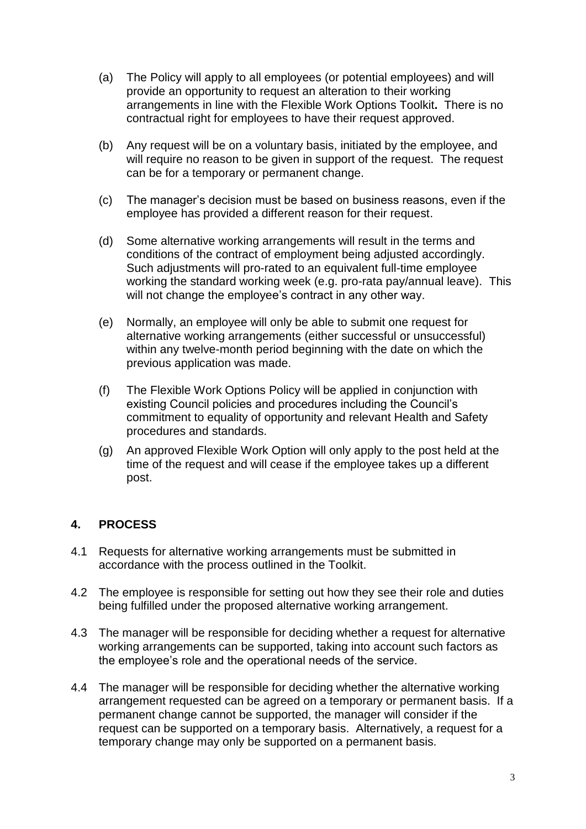- (a) The Policy will apply to all employees (or potential employees) and will provide an opportunity to request an alteration to their working arrangements in line with the Flexible Work Options Toolkit**.** There is no contractual right for employees to have their request approved.
- (b) Any request will be on a voluntary basis, initiated by the employee, and will require no reason to be given in support of the request. The request can be for a temporary or permanent change.
- (c) The manager's decision must be based on business reasons, even if the employee has provided a different reason for their request.
- (d) Some alternative working arrangements will result in the terms and conditions of the contract of employment being adjusted accordingly. Such adjustments will pro-rated to an equivalent full-time employee working the standard working week (e.g. pro-rata pay/annual leave). This will not change the employee's contract in any other way.
- (e) Normally, an employee will only be able to submit one request for alternative working arrangements (either successful or unsuccessful) within any twelve-month period beginning with the date on which the previous application was made.
- (f) The Flexible Work Options Policy will be applied in conjunction with existing Council policies and procedures including the Council's commitment to equality of opportunity and relevant Health and Safety procedures and standards.
- (g) An approved Flexible Work Option will only apply to the post held at the time of the request and will cease if the employee takes up a different post.

### <span id="page-2-0"></span>**4. PROCESS**

- 4.1 Requests for alternative working arrangements must be submitted in accordance with the process outlined in the Toolkit.
- 4.2 The employee is responsible for setting out how they see their role and duties being fulfilled under the proposed alternative working arrangement.
- 4.3 The manager will be responsible for deciding whether a request for alternative working arrangements can be supported, taking into account such factors as the employee's role and the operational needs of the service.
- 4.4 The manager will be responsible for deciding whether the alternative working arrangement requested can be agreed on a temporary or permanent basis. If a permanent change cannot be supported, the manager will consider if the request can be supported on a temporary basis. Alternatively, a request for a temporary change may only be supported on a permanent basis.